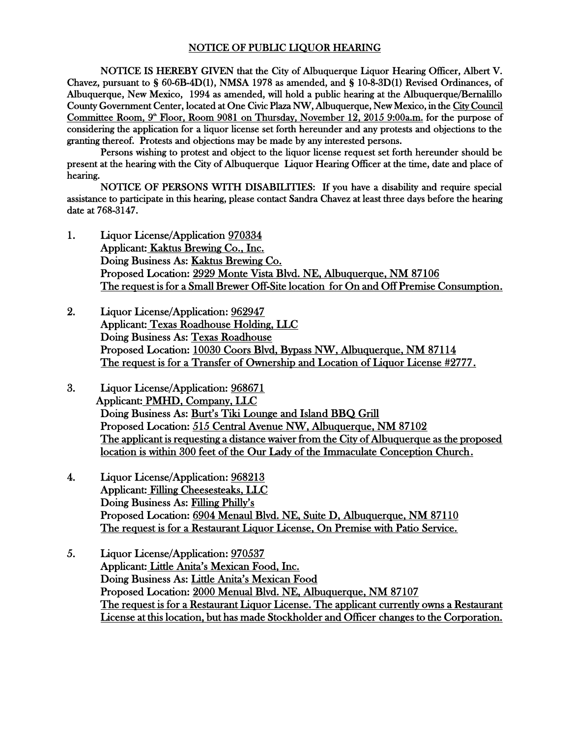## NOTICE OF PUBLIC LIQUOR HEARING

NOTICE IS HEREBY GIVEN that the City of Albuquerque Liquor Hearing Officer, Albert V. Chavez, pursuant to § 60-6B-4D(1), NMSA 1978 as amended, and § 10-8-3D(1) Revised Ordinances, of Albuquerque, New Mexico, 1994 as amended, will hold a public hearing at the Albuquerque/Bernalillo County Government Center, located at One Civic Plaza NW, Albuquerque, New Mexico, in the City Council Committee Room, 9<sup>th</sup> Floor, Room 9081 on Thursday, November 12, 2015 9:00a.m. for the purpose of considering the application for a liquor license set forth hereunder and any protests and objections to the granting thereof. Protests and objections may be made by any interested persons.

Persons wishing to protest and object to the liquor license request set forth hereunder should be present at the hearing with the City of Albuquerque Liquor Hearing Officer at the time, date and place of hearing.

NOTICE OF PERSONS WITH DISABILITIES: If you have a disability and require special assistance to participate in this hearing, please contact Sandra Chavez at least three days before the hearing date at 768-3147.

- 1. Liquor License/Application 970334 Applicant: Kaktus Brewing Co., Inc. Doing Business As: Kaktus Brewing Co. Proposed Location: 2929 Monte Vista Blvd. NE, Albuquerque, NM 87106 The request is for a Small Brewer Off-Site location for On and Off Premise Consumption.
- 2. Liquor License/Application: 962947 Applicant: Texas Roadhouse Holding, LLC Doing Business As: Texas Roadhouse Proposed Location: 10030 Coors Blvd, Bypass NW, Albuquerque, NM 87114 The request is for a Transfer of Ownership and Location of Liquor License #2777.
- 3. Liquor License/Application: 968671 Applicant: PMHD, Company, LLC Doing Business As: Burt's Tiki Lounge and Island BBQ Grill Proposed Location: 515 Central Avenue NW, Albuquerque, NM 87102 The applicant is requesting a distance waiver from the City of Albuquerque as the proposed location is within 300 feet of the Our Lady of the Immaculate Conception Church.
- 4. Liquor License/Application: 968213 Applicant: Filling Cheesesteaks, LLC Doing Business As: Filling Philly's Proposed Location: 6904 Menaul Blvd. NE, Suite D, Albuquerque, NM 87110 The request is for a Restaurant Liquor License, On Premise with Patio Service.
- 5. Liquor License/Application: 970537 Applicant: Little Anita's Mexican Food, Inc. Doing Business As: Little Anita's Mexican Food Proposed Location: 2000 Menual Blvd. NE, Albuquerque, NM 87107 The request is for a Restaurant Liquor License. The applicant currently owns a Restaurant License at this location, but has made Stockholder and Officer changes to the Corporation.